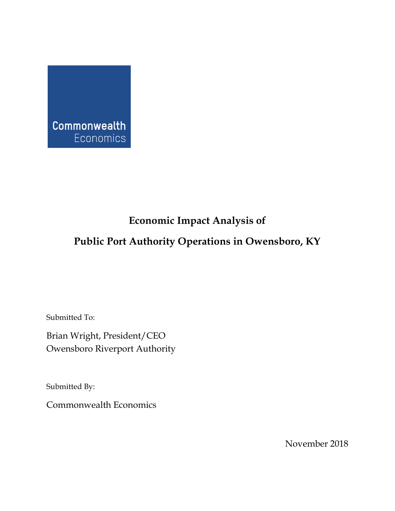

# **Economic Impact Analysis of**

# **Public Port Authority Operations in Owensboro, KY**

Submitted To:

Brian Wright, President/CEO Owensboro Riverport Authority

Submitted By:

Commonwealth Economics

November 2018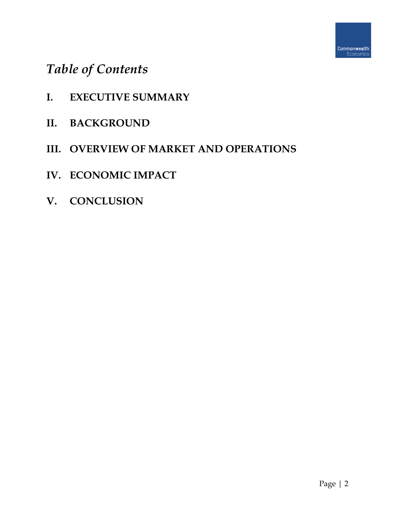# *Table of Contents*

- **I. EXECUTIVE SUMMARY**
- **II. BACKGROUND**
- **III. OVERVIEW OF MARKET AND OPERATIONS**
- **IV. ECONOMIC IMPACT**
- **V. CONCLUSION**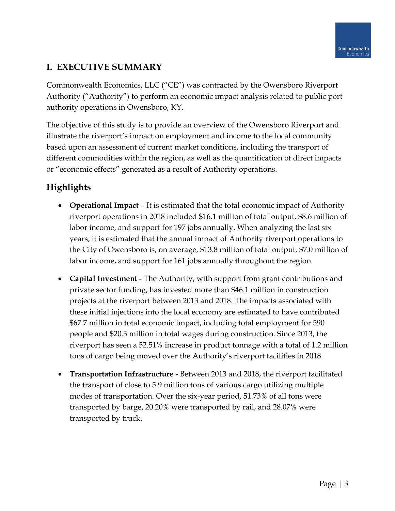# **I. EXECUTIVE SUMMARY**

Commonwealth Economics, LLC ("CE") was contracted by the Owensboro Riverport Authority ("Authority") to perform an economic impact analysis related to public port authority operations in Owensboro, KY.

The objective of this study is to provide an overview of the Owensboro Riverport and illustrate the riverport's impact on employment and income to the local community based upon an assessment of current market conditions, including the transport of different commodities within the region, as well as the quantification of direct impacts or "economic effects" generated as a result of Authority operations.

# **Highlights**

- **Operational Impact** It is estimated that the total economic impact of Authority riverport operations in 2018 included \$16.1 million of total output, \$8.6 million of labor income, and support for 197 jobs annually. When analyzing the last six years, it is estimated that the annual impact of Authority riverport operations to the City of Owensboro is, on average, \$13.8 million of total output, \$7.0 million of labor income, and support for 161 jobs annually throughout the region.
- **Capital Investment** The Authority, with support from grant contributions and private sector funding, has invested more than \$46.1 million in construction projects at the riverport between 2013 and 2018. The impacts associated with these initial injections into the local economy are estimated to have contributed \$67.7 million in total economic impact, including total employment for 590 people and \$20.3 million in total wages during construction. Since 2013, the riverport has seen a 52.51% increase in product tonnage with a total of 1.2 million tons of cargo being moved over the Authority's riverport facilities in 2018.
- **Transportation Infrastructure** Between 2013 and 2018, the riverport facilitated the transport of close to 5.9 million tons of various cargo utilizing multiple modes of transportation. Over the six-year period, 51.73% of all tons were transported by barge, 20.20% were transported by rail, and 28.07% were transported by truck.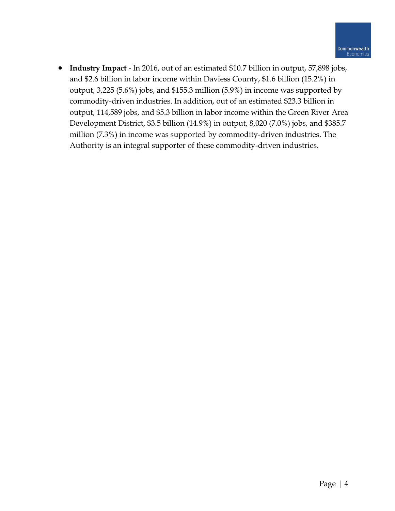• **Industry Impact** - In 2016, out of an estimated \$10.7 billion in output, 57,898 jobs, and \$2.6 billion in labor income within Daviess County, \$1.6 billion (15.2%) in output, 3,225 (5.6%) jobs, and \$155.3 million (5.9%) in income was supported by commodity-driven industries. In addition, out of an estimated \$23.3 billion in output, 114,589 jobs, and \$5.3 billion in labor income within the Green River Area Development District, \$3.5 billion (14.9%) in output, 8,020 (7.0%) jobs, and \$385.7 million (7.3%) in income was supported by commodity-driven industries. The Authority is an integral supporter of these commodity-driven industries.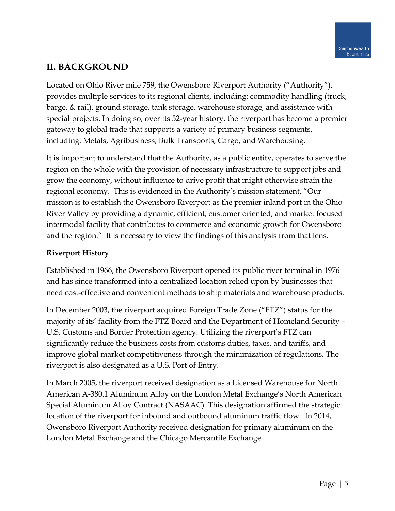# **II. BACKGROUND**

Located on Ohio River mile 759, the Owensboro Riverport Authority ("Authority"), provides multiple services to its regional clients, including: commodity handling (truck, barge, & rail), ground storage, tank storage, warehouse storage, and assistance with special projects. In doing so, over its 52-year history, the riverport has become a premier gateway to global trade that supports a variety of primary business segments, including: Metals, Agribusiness, Bulk Transports, Cargo, and Warehousing.

It is important to understand that the Authority, as a public entity, operates to serve the region on the whole with the provision of necessary infrastructure to support jobs and grow the economy, without influence to drive profit that might otherwise strain the regional economy. This is evidenced in the Authority's mission statement, "Our mission is to establish the Owensboro Riverport as the premier inland port in the Ohio River Valley by providing a dynamic, efficient, customer oriented, and market focused intermodal facility that contributes to commerce and economic growth for Owensboro and the region." It is necessary to view the findings of this analysis from that lens.

# **Riverport History**

Established in 1966, the Owensboro Riverport opened its public river terminal in 1976 and has since transformed into a centralized location relied upon by businesses that need cost-effective and convenient methods to ship materials and warehouse products.

In December 2003, the riverport acquired Foreign Trade Zone ("FTZ") status for the majority of its' facility from the FTZ Board and the Department of Homeland Security – U.S. Customs and Border Protection agency. Utilizing the riverport's FTZ can significantly reduce the business costs from customs duties, taxes, and tariffs, and improve global market competitiveness through the minimization of regulations. The riverport is also designated as a U.S. Port of Entry.

In March 2005, the riverport received designation as a Licensed Warehouse for North American A-380.1 Aluminum Alloy on the London Metal Exchange's North American Special Aluminum Alloy Contract (NASAAC). This designation affirmed the strategic location of the riverport for inbound and outbound aluminum traffic flow. In 2014, Owensboro Riverport Authority received designation for primary aluminum on the London Metal Exchange and the Chicago Mercantile Exchange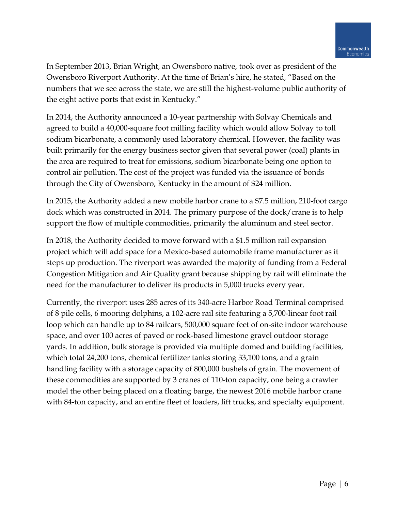In September 2013, Brian Wright, an Owensboro native, took over as president of the Owensboro Riverport Authority. At the time of Brian's hire, he stated, "Based on the numbers that we see across the state, we are still the highest-volume public authority of the eight active ports that exist in Kentucky."

In 2014, the Authority announced a 10-year partnership with Solvay Chemicals and agreed to build a 40,000-square foot milling facility which would allow Solvay to toll sodium bicarbonate, a commonly used laboratory chemical. However, the facility was built primarily for the energy business sector given that several power (coal) plants in the area are required to treat for emissions, sodium bicarbonate being one option to control air pollution. The cost of the project was funded via the issuance of bonds through the City of Owensboro, Kentucky in the amount of \$24 million.

In 2015, the Authority added a new mobile harbor crane to a \$7.5 million, 210-foot cargo dock which was constructed in 2014. The primary purpose of the dock/crane is to help support the flow of multiple commodities, primarily the aluminum and steel sector.

In 2018, the Authority decided to move forward with a \$1.5 million rail expansion project which will add space for a Mexico-based automobile frame manufacturer as it steps up production. The riverport was awarded the majority of funding from a Federal Congestion Mitigation and Air Quality grant because shipping by rail will eliminate the need for the manufacturer to deliver its products in 5,000 trucks every year.

Currently, the riverport uses 285 acres of its 340-acre Harbor Road Terminal comprised of 8 pile cells, 6 mooring dolphins, a 102-acre rail site featuring a 5,700-linear foot rail loop which can handle up to 84 railcars, 500,000 square feet of on-site indoor warehouse space, and over 100 acres of paved or rock-based limestone gravel outdoor storage yards. In addition, bulk storage is provided via multiple domed and building facilities, which total 24,200 tons, chemical fertilizer tanks storing 33,100 tons, and a grain handling facility with a storage capacity of 800,000 bushels of grain. The movement of these commodities are supported by 3 cranes of 110-ton capacity, one being a crawler model the other being placed on a floating barge, the newest 2016 mobile harbor crane with 84-ton capacity, and an entire fleet of loaders, lift trucks, and specialty equipment.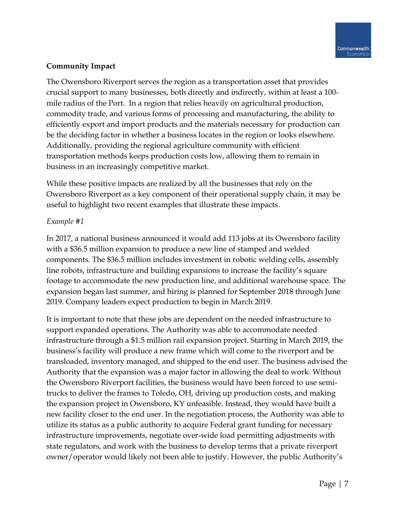### **Community Impact**

The Owensboro Riverport serves the region as a transportation asset that provides crucial support to many businesses, both directly and indirectly, within at least a 100 mile radius of the Port. In a region that relies heavily on agricultural production, commodity trade, and various forms of processing and manufacturing, the ability to efficiently export and import products and the materials necessary for production can be the deciding factor in whether a business locates in the region or looks elsewhere. Additionally, providing the regional agriculture community with efficient transportation methods keeps production costs low, allowing them to remain in business in an increasingly competitive market.

While these positive impacts are realized by all the businesses that rely on the Owensboro Riverport as a key component of their operational supply chain, it may be useful to highlight two recent examples that illustrate these impacts.

### *Example #1*

In 2017, a national business announced it would add 113 jobs at its Owensboro facility with a \$36.5 million expansion to produce a new line of stamped and welded components. The \$36.5 million includes investment in robotic welding cells, assembly line robots, infrastructure and building expansions to increase the facility's square footage to accommodate the new production line, and additional warehouse space. The expansion began last summer, and hiring is planned for September 2018 through June 2019. Company leaders expect production to begin in March 2019.

It is important to note that these jobs are dependent on the needed infrastructure to support expanded operations. The Authority was able to accommodate needed infrastructure through a \$1.5 million rail expansion project. Starting in March 2019, the business's facility will produce a new frame which will come to the riverport and be transloaded, inventory managed, and shipped to the end user. The business advised the Authority that the expansion was a major factor in allowing the deal to work. Without the Owensboro Riverport facilities, the business would have been forced to use semitrucks to deliver the frames to Toledo, OH, driving up production costs, and making the expansion project in Owensboro, KY unfeasible. Instead, they would have built a new facility closer to the end user. In the negotiation process, the Authority was able to utilize its status as a public authority to acquire Federal grant funding for necessary infrastructure improvements, negotiate over-wide load permitting adjustments with state regulators, and work with the business to develop terms that a private riverport owner/operator would likely not been able to justify. However, the public Authority's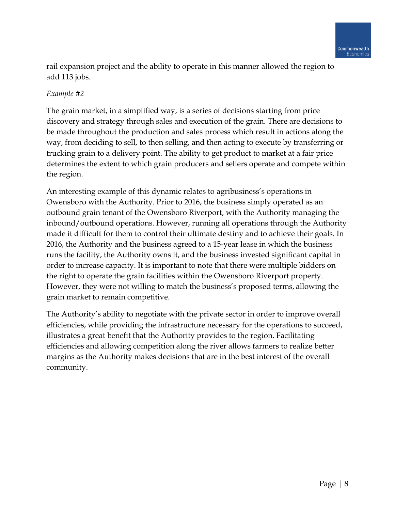rail expansion project and the ability to operate in this manner allowed the region to add 113 jobs.

### *Example #2*

The grain market, in a simplified way, is a series of decisions starting from price discovery and strategy through sales and execution of the grain. There are decisions to be made throughout the production and sales process which result in actions along the way, from deciding to sell, to then selling, and then acting to execute by transferring or trucking grain to a delivery point. The ability to get product to market at a fair price determines the extent to which grain producers and sellers operate and compete within the region.

An interesting example of this dynamic relates to agribusiness's operations in Owensboro with the Authority. Prior to 2016, the business simply operated as an outbound grain tenant of the Owensboro Riverport, with the Authority managing the inbound/outbound operations. However, running all operations through the Authority made it difficult for them to control their ultimate destiny and to achieve their goals. In 2016, the Authority and the business agreed to a 15-year lease in which the business runs the facility, the Authority owns it, and the business invested significant capital in order to increase capacity. It is important to note that there were multiple bidders on the right to operate the grain facilities within the Owensboro Riverport property. However, they were not willing to match the business's proposed terms, allowing the grain market to remain competitive.

The Authority's ability to negotiate with the private sector in order to improve overall efficiencies, while providing the infrastructure necessary for the operations to succeed, illustrates a great benefit that the Authority provides to the region. Facilitating efficiencies and allowing competition along the river allows farmers to realize better margins as the Authority makes decisions that are in the best interest of the overall community.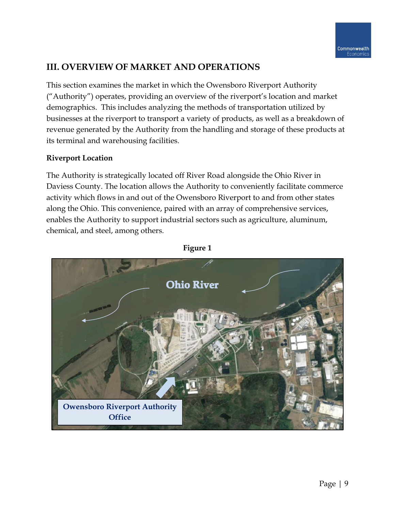# **III. OVERVIEW OF MARKET AND OPERATIONS**

This section examines the market in which the Owensboro Riverport Authority ("Authority") operates, providing an overview of the riverport's location and market demographics. This includes analyzing the methods of transportation utilized by businesses at the riverport to transport a variety of products, as well as a breakdown of revenue generated by the Authority from the handling and storage of these products at its terminal and warehousing facilities.

### **Riverport Location**

The Authority is strategically located off River Road alongside the Ohio River in Daviess County. The location allows the Authority to conveniently facilitate commerce activity which flows in and out of the Owensboro Riverport to and from other states along the Ohio. This convenience, paired with an array of comprehensive services, enables the Authority to support industrial sectors such as agriculture, aluminum, chemical, and steel, among others.



#### **Figure 1**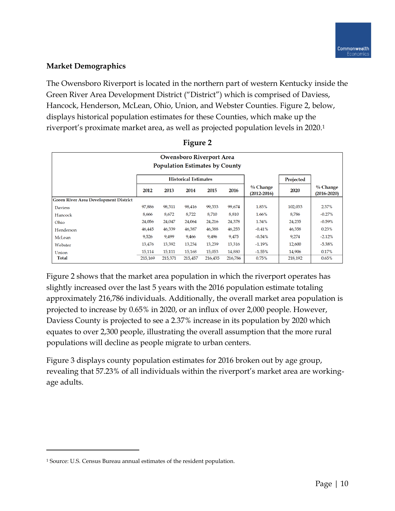### **Market Demographics**

The Owensboro Riverport is located in the northern part of western Kentucky inside the Green River Area Development District ("District") which is comprised of Daviess, Hancock, Henderson, McLean, Ohio, Union, and Webster Counties. Figure 2, below, displays historical population estimates for these Counties, which make up the riverport's proximate market area, as well as projected population levels in 2020. 1

|                                              | <b>Owensboro Riverport Area</b><br><b>Population Estimates by County</b> |         |         |         |         |                               |         |                             |  |  |
|----------------------------------------------|--------------------------------------------------------------------------|---------|---------|---------|---------|-------------------------------|---------|-----------------------------|--|--|
|                                              | <b>Historical Estimates</b>                                              |         |         |         |         |                               |         |                             |  |  |
|                                              | 2012                                                                     | 2013    | 2014    | 2015    | 2016    | $%$ Change<br>$(2012 - 2016)$ | 2020    | % Change<br>$(2016 - 2020)$ |  |  |
| <b>Green River Area Development District</b> |                                                                          |         |         |         |         |                               |         |                             |  |  |
| <b>Daviess</b>                               | 97,886                                                                   | 98,311  | 98,416  | 99,333  | 99,674  | 1.83%                         | 102,033 | 2.37%                       |  |  |
| Hancock                                      | 8,666                                                                    | 8,672   | 8,722   | 8,710   | 8,810   | 1.66%                         | 8,786   | $-0.27%$                    |  |  |
| Ohio                                         | 24,056                                                                   | 24,047  | 24,064  | 24,216  | 24,378  | 1.34%                         | 24,235  | $-0.59%$                    |  |  |
| Henderson                                    | 46,445                                                                   | 46,339  | 46,387  | 46,388  | 46,253  | $-0.41%$                      | 46,358  | 0.23%                       |  |  |
| McLean                                       | 9,526                                                                    | 9,499   | 9,466   | 9,496   | 9,475   | $-0.54%$                      | 9,274   | $-2.12%$                    |  |  |
| Webster                                      | 13,476                                                                   | 13,392  | 13,234  | 13,239  | 13,316  | $-1.19%$                      | 12,600  | $-5.38%$                    |  |  |
| Union                                        | 15,114                                                                   | 15,111  | 15,168  | 15,053  | 14,880  | $-1.55%$                      | 14,906  | 0.17%                       |  |  |
| <b>Total</b>                                 | 215.169                                                                  | 215,371 | 215,457 | 216,435 | 216,786 | 0.75%                         | 218.192 | 0.65%                       |  |  |

| 1911 T<br>e |  |
|-------------|--|
|             |  |

Figure 2 shows that the market area population in which the riverport operates has slightly increased over the last 5 years with the 2016 population estimate totaling approximately 216,786 individuals. Additionally, the overall market area population is projected to increase by 0.65% in 2020, or an influx of over 2,000 people. However, Daviess County is projected to see a 2.37% increase in its population by 2020 which equates to over 2,300 people, illustrating the overall assumption that the more rural populations will decline as people migrate to urban centers.

Figure 3 displays county population estimates for 2016 broken out by age group, revealing that 57.23% of all individuals within the riverport's market area are workingage adults.

 $\overline{\phantom{a}}$ 

<sup>1</sup> Source: U.S. Census Bureau annual estimates of the resident population.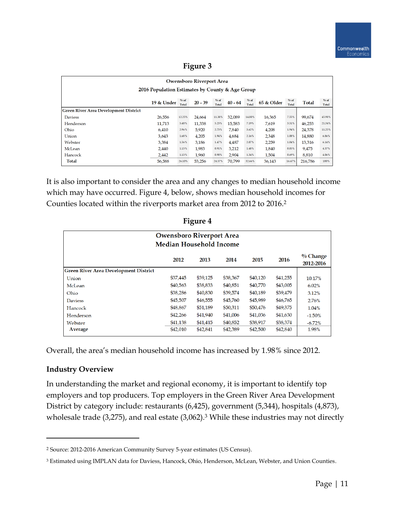| <b>Owensboro Riverport Area</b>                                                                                                                                              |        |        |        |        |        |        |        |        |         |        |  |  |
|------------------------------------------------------------------------------------------------------------------------------------------------------------------------------|--------|--------|--------|--------|--------|--------|--------|--------|---------|--------|--|--|
| 2016 Population Estimates by County & Age Group                                                                                                                              |        |        |        |        |        |        |        |        |         |        |  |  |
| % of<br>% of<br>% of<br>% of<br>% of<br>19 & Under<br>$20 - 39$<br>65 & Older<br><b>Total</b><br>$40 - 64$<br><b>Total</b><br><b>Total</b><br>Total<br><b>Total</b><br>Total |        |        |        |        |        |        |        |        |         |        |  |  |
| <b>Green River Area Development District</b>                                                                                                                                 |        |        |        |        |        |        |        |        |         |        |  |  |
| <b>Daviess</b>                                                                                                                                                               | 26,556 | 12.25% | 24,664 | 11.38% | 32,089 | 14.80% | 16,365 | 7.55%  | 99,674  | 45.98% |  |  |
| Henderson                                                                                                                                                                    | 11.713 | 5.40%  | 11,338 | 5.23%  | 15,583 | 7.19%  | 7,619  | 3.51%  | 46,253  | 21.34% |  |  |
| Ohio                                                                                                                                                                         | 6,410  | 2.96%  | 5.920  | 2.73%  | 7,840  | 3.62%  | 4,208  | 1.94%  | 24,378  | 11.25% |  |  |
| Union                                                                                                                                                                        | 3.643  | 1.68%  | 4,205  | 1.94%  | 4.684  | 2.16%  | 2,348  | 1.08%  | 14,880  | 6.86%  |  |  |
| Webster                                                                                                                                                                      | 3,384  | 1.56%  | 3,186  | 1.47%  | 4,487  | 2.07%  | 2,259  | 1.04%  | 13,316  | 6.14%  |  |  |
| McLean                                                                                                                                                                       | 2,440  | 1.13%  | 1.983  | 0.91%  | 3,212  | 1.48%  | 1,840  | 0.85%  | 9,475   | 4.37%  |  |  |
| Hancock                                                                                                                                                                      | 2.442  | 1.13%  | 1.960  | 0.90%  | 2.904  | 1.34%  | 1.504  | 0.69%  | 8.810   | 4.06%  |  |  |
| <b>Total</b>                                                                                                                                                                 | 56.588 | 26.10% | 53.256 | 24.57% | 70.799 | 32.66% | 36.143 | 16.67% | 216.786 | 100%   |  |  |

It is also important to consider the area and any changes to median household income which may have occurred. Figure 4, below, shows median household incomes for Counties located within the riverports market area from 2012 to 2016. 2

| <b>Owensboro Riverport Area</b><br>Median Household Income |          |          |          |          |          |                         |  |  |  |  |  |  |
|------------------------------------------------------------|----------|----------|----------|----------|----------|-------------------------|--|--|--|--|--|--|
|                                                            | 2012     | 2013     | 2014     | 2015     | 2016     | $%$ Change<br>2012-2016 |  |  |  |  |  |  |
| <b>Green River Area Development District</b>               |          |          |          |          |          |                         |  |  |  |  |  |  |
| Union                                                      | \$37,445 | \$39,125 | \$38,367 | \$40,120 | \$41,255 | 10.17%                  |  |  |  |  |  |  |
| McLean                                                     | \$40,563 | \$38,833 | \$40,851 | \$40,770 | \$43,005 | 6.02%                   |  |  |  |  |  |  |
| Ohio                                                       | \$38,286 | \$40,830 | \$39,574 | \$40,189 | \$39,479 | 3.12%                   |  |  |  |  |  |  |
| <b>Daviess</b>                                             | \$45,507 | \$46,555 | \$45,760 | \$45,989 | \$46,765 | 2.76%                   |  |  |  |  |  |  |
| Hancock                                                    | \$48,867 | \$51,189 | \$50,311 | \$50,476 | \$49,375 | 1.04%                   |  |  |  |  |  |  |
| Henderson                                                  | \$42,266 | \$41,940 | \$41,006 | \$41,036 | \$41,630 | $-1.50%$                |  |  |  |  |  |  |
| Webster                                                    | \$41,138 | \$41,415 | \$40,852 | \$38,917 | \$38,374 | $-6.72%$                |  |  |  |  |  |  |
| Average                                                    | \$42,010 | \$42,841 | \$42,389 | \$42,500 | \$42,840 | 1.98%                   |  |  |  |  |  |  |

**Figure 4**

Overall, the area's median household income has increased by 1.98% since 2012.

#### **Industry Overview**

 $\overline{\phantom{a}}$ 

In understanding the market and regional economy, it is important to identify top employers and top producers. Top employers in the Green River Area Development District by category include: restaurants (6,425), government (5,344), hospitals (4,873), wholesale trade  $(3,275)$ , and real estate  $(3,062)$ .<sup>3</sup> While these industries may not directly

<sup>2</sup> Source: 2012-2016 American Community Survey 5-year estimates (US Census).

<sup>&</sup>lt;sup>3</sup> Estimated using IMPLAN data for Daviess, Hancock, Ohio, Henderson, McLean, Webster, and Union Counties.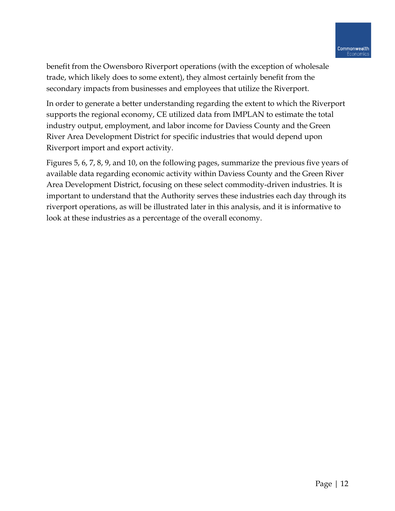benefit from the Owensboro Riverport operations (with the exception of wholesale trade, which likely does to some extent), they almost certainly benefit from the secondary impacts from businesses and employees that utilize the Riverport.

In order to generate a better understanding regarding the extent to which the Riverport supports the regional economy, CE utilized data from IMPLAN to estimate the total industry output, employment, and labor income for Daviess County and the Green River Area Development District for specific industries that would depend upon Riverport import and export activity.

Figures 5, 6, 7, 8, 9, and 10, on the following pages, summarize the previous five years of available data regarding economic activity within Daviess County and the Green River Area Development District, focusing on these select commodity-driven industries. It is important to understand that the Authority serves these industries each day through its riverport operations, as will be illustrated later in this analysis, and it is informative to look at these industries as a percentage of the overall economy.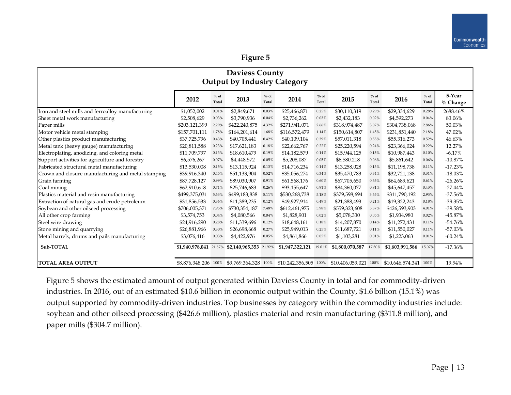| <b>Daviess County</b><br>Output by Industry Category |                        |                 |                        |                 |                                                                                                             |                 |                 |                  |                 |                 |                      |
|------------------------------------------------------|------------------------|-----------------|------------------------|-----------------|-------------------------------------------------------------------------------------------------------------|-----------------|-----------------|------------------|-----------------|-----------------|----------------------|
|                                                      | 2012                   | $%$ of<br>Total | 2013                   | $%$ of<br>Total | 2014                                                                                                        | $%$ of<br>Total | 2015            | $\%$ of<br>Total | 2016            | $%$ of<br>Total | 5-Year<br>$%$ Change |
| Iron and steel mills and ferroalloy manufacturing    | \$1,052,002            | 0.01%           | \$2,849,671            | 0.03%           | \$25,466,871                                                                                                | $0.25\%$        | \$30,110,319    | 0.29%            | \$29,334,629    | 0.28%           | 2688.46%             |
| Sheet metal work manufacturing                       | \$2,508,629            | 0.03%           | \$3,790,936            | 0.04%           | \$2,736,262                                                                                                 | 0.03%           | \$2,432,183     | 0.02%            | \$4,592,273     | 0.04%           | 83.06%               |
| Paper mills                                          | \$203,121,399          | 2.29%           | \$422,240,875          | 4.32%           | \$271,941,071                                                                                               | 2.66%           | \$318,974,487   | 3.07%            | \$304,738,068   | 2.86%           | 50.03%               |
| Motor vehicle metal stamping                         | \$157,701,111          | 1.78%           | \$164,201,614          | 1.68%           | \$116,572,479                                                                                               | 1.14%           | \$150,614,807   | 1.45%            | \$231,851,440   | 2.18%           | 47.02%               |
| Other plastics product manufacturing                 | \$37,725,796           | 0.43%           | \$40,705,441           | 0.42%           | \$40,109,104                                                                                                | 0.39%           | \$57,011,318    | 0.55%            | \$55,316,273    | 0.52%           | 46.63%               |
| Metal tank (heavy gauge) manufacturing               | \$20,811,588           | 0.23%           | \$17,621,183           | 0.18%           | \$22,662,767                                                                                                | 0.22%           | \$25,220,594    | 0.24%            | \$23,366,024    | 0.22%           | 12.27%               |
| Electroplating, anodizing, and coloring metal        | \$11,709,797           | 0.13%           | \$18,610,479           | 0.19%           | \$14,182,579                                                                                                | 0.14%           | \$15,944,125    | 0.15%            | \$10,987,443    | 0.10%           | $-6.17%$             |
| Support activities for agriculture and forestry      | \$6,576,267            | 0.07%           | \$4,448,572            | 0.05%           | \$5,208,087                                                                                                 | 0.05%           | \$6,580,218     | 0.06%            | \$5,861,642     | 0.06%           | $-10.87%$            |
| Fabricated structural metal manufacturing            | \$13,530,008           | 0.15%           | \$13,115,924           | 0.13%           | \$14,716,234                                                                                                | 0.14%           | \$13,258,028    | 0.13%            | \$11,198,738    | 0.11%           | $-17.23%$            |
| Crown and closure manufacturing and metal stamping   | \$39,916,340           | 0.45%           | \$51,133,904           | 0.52%           | \$35,056,274                                                                                                | 0.34%           | \$35,470,783    | 0.34%            | \$32,721,138    | 0.31%           | $-18.03%$            |
| Grain farming                                        | \$87,728,127           | 0.99%           | \$89,030,907           | 0.91%           | \$61,568,176                                                                                                | 0.60%           | \$67,705,650    | 0.65%            | \$64,689,621    | 0.61%           | $-26.26%$            |
| Coal mining                                          | \$62,910,618           | 0.71%           | \$25,746,683           | 0.26%           | \$93,155,647                                                                                                | 0.91%           | \$84,360,077    | 0.81%            | \$45,647,457    | 0.43%           | $-27.44%$            |
| Plastics material and resin manufacturing            | \$499,375,031          | 5.63%           | \$499,183,838          | 5.11%           | \$530,268,738                                                                                               | 5.18%           | \$379,598,694   | 3.65%            | \$311,790,192   | 2.93%           | $-37.56%$            |
| Extraction of natural gas and crude petroleum        | \$31,856,533           | 0.36%           | \$11,389,235           | 0.12%           | \$49,927,914                                                                                                | 0.49%           | \$21,388,493    | 0.21%            | \$19,322,243    | 0.18%           | $-39.35%$            |
| Soybean and other oilseed processing                 | \$706,005,371          | 7.95%           | \$730,354,187          | 7.48%           | \$612,461,975                                                                                               | 5.98%           | \$559,323,608   | 5.37%            | \$426,593,903   | 4.01%           | -39.58%              |
| All other crop farming                               | \$3,574,753            | 0.04%           | \$4,080,566            | 0.04%           | \$1,828,901                                                                                                 | 0.02%           | \$5,078,330     | 0.05%            | \$1,934,980     | 0.02%           | $-45.87%$            |
| Steel wire drawing                                   | \$24,916,290           | 0.28%           | \$11,339,696           | 0.12%           | \$18,648,161                                                                                                | 0.18%           | \$14,207,870    | 0.14%            | \$11,272,431    | 0.11%           | $-54.76%$            |
| Stone mining and quarrying                           | \$26,881,966           | 0.30%           | \$26,698,668           | 0.27%           | \$25,949,013                                                                                                | 0.25%           | \$11,687,721    | 0.11%            | \$11,550,027    | 0.11%           | $-57.03%$            |
| Metal barrels, drums and pails manufacturing         | \$3,076,416            | 0.03%           | \$4,422,976            | 0.05%           | \$4,861,866                                                                                                 | 0.05%           | \$1,103,281     | 0.01%            | \$1,223,063     | 0.01%           | $-60.24%$            |
| Sub-TOTAL                                            | \$1,940,978,041 21.87% |                 | \$2,140,965,353 21.92% |                 | \$1,947,322,121                                                                                             | 19.01%          | \$1,800,070,587 | 17.30%           | \$1,603,991,586 | 15.07%          | $-17.36%$            |
| <b>TOTAL AREA OUTPUT</b>                             |                        |                 |                        |                 | \$8,876,348,206 100% \$9,769,364,328 100% \$10,242,356,505 100% \$10,406,059,021 100% \$10,646,574,341 100% |                 |                 |                  |                 |                 | 19.94%               |

Figure 5 shows the estimated amount of output generated within Daviess County in total and for commodity-driven industries. In 2016, out of an estimated \$10.6 billion in economic output within the County, \$1.6 billion (15.1%) was output supported by commodity-driven industries. Top businesses by category within the commodity industries include: soybean and other oilseed processing (\$426.6 million), plastics material and resin manufacturing (\$311.8 million), and paper mills (\$304.7 million).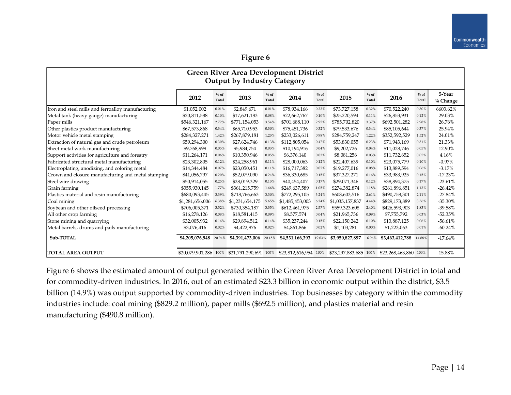| <b>Green River Area Development District</b><br><b>Output by Industry Category</b> |                       |                 |                        |                  |                       |                  |                       |                  |                  |                 |                       |
|------------------------------------------------------------------------------------|-----------------------|-----------------|------------------------|------------------|-----------------------|------------------|-----------------------|------------------|------------------|-----------------|-----------------------|
|                                                                                    | 2012                  | $%$ of<br>Total | 2013                   | $\%$ of<br>Total | 2014                  | $\%$ of<br>Total | 2015                  | $\%$ of<br>Total | 2016             | $%$ of<br>Total | 5-Year<br>$\%$ Change |
| Iron and steel mills and ferroalloy manufacturing                                  | \$1,052,002           | 0.01%           | \$2,849,671            | 0.01%            | \$78,934,166          | 0.33%            | \$73,727,158          | 0.32%            | \$70,522,240     | 0.30%           | 6603.62%              |
| Metal tank (heavy gauge) manufacturing                                             | \$20,811,588          | 0.10%           | \$17,621,183           | 0.08%            | \$22,662,767          | 0.10%            | \$25,220,594          | 0.11%            | \$26,853,931     | 0.12%           | 29.03%                |
| Paper mills                                                                        | \$546,321,167         | 2.72%           | \$771,154,053          | 3.54%            | \$701,688,110         | 2.95%            | \$785,702,820         | 3.37%            | \$692,501,282    | 2.98%           | 26.76%                |
| Other plastics product manufacturing                                               | \$67,573,868          | 0.34%           | \$65,710,953           | 0.30%            | \$75,451,736          | 0.32%            | \$79,533,676          | 0.34%            | \$85,105,644     | 0.37%           | 25.94%                |
| Motor vehicle metal stamping                                                       | \$284,327,271         | 1.42%           | \$267,879,181          | 1.23%            | \$233,026,611         | 0.98%            | \$284,759,247         | 1.22%            | \$352,592,529    | 1.52%           | 24.01%                |
| Extraction of natural gas and crude petroleum                                      | \$59,294,300          | 0.30%           | \$27,624,746           | 0.13%            | \$112,805,054         | 0.47%            | \$53,830,055          | 0.23%            | \$71,943,169     | 0.31%           | 21.33%                |
| Sheet metal work manufacturing                                                     | \$9,768,999           | 0.05%           | \$5,984,754            | 0.03%            | \$10,194,916          | 0.04%            | \$9,202,726           | 0.04%            | \$11,028,746     | 0.05%           | 12.90%                |
| Support activities for agriculture and forestry                                    | \$11,264,171          | 0.06%           | \$10,350,946           | 0.05%            | \$6,376,140           | 0.03%            | \$8,081,256           | 0.03%            | \$11,732,652     | 0.05%           | 4.16%                 |
| Fabricated structural metal manufacturing                                          | \$23,302,805          | 0.12%           | \$24,258,961           | 0.11%            | \$28,000,063          | 0.12%            | \$22,407,639          | 0.10%            | \$23,075,779     | 0.10%           | $-0.97%$              |
| Electroplating, anodizing, and coloring metal                                      | \$14,344,484          | 0.07%           | \$23,050,451           | 0.11%            | \$16,717,382          | 0.07%            | \$19,277,016          | 0.08%            | \$13,889,594     | 0.06%           | $-3.17%$              |
| Crown and closure manufacturing and metal stamping                                 | \$41,056,797          | 0.20%           | \$52,079,090           | 0.24%            | \$36,330,685          | 0.15%            | \$37,327,271          | 0.16%            | \$33,983,925     | 0.15%           | $-17.23%$             |
| Steel wire drawing                                                                 | \$50,914,055          | 0.25%           | \$28,019,329           | 0.13%            | \$40,454,407          | 0.17%            | \$29,071,346          | 0.12%            | \$38,894,375     | 0.17%           | $-23.61%$             |
| Grain farming                                                                      | \$355,930,145         | 1.77%           | \$361,215,759          | 1.66%            | \$249,637,589         | 1.05%            | \$274,382,874         | 1.18%            | \$261,896,851    | 1.13%           | $-26.42%$             |
| Plastics material and resin manufacturing                                          | \$680,093,445         | 3.39%           | \$718,766,663          | 3.30%            | \$772,295,105         | 3.24%            | \$608,603,516         | 2.61%            | \$490,758,301    | 2.11%           | $-27.84%$             |
| Coal mining                                                                        | \$1,281,656,006       | 6.38%           | \$1,231,654,175        | 5.65%            | \$1,485,453,003       | 6.24%            | \$1,035,157,837       | 4.44%            | \$829,173,889    | 3.56%           | $-35.30%$             |
| Soybean and other oilseed processing                                               | \$706,005,371         | 3.52%           | \$730,354,187          | 3.35%            | \$612,461,975         | 2.57%            | \$559,323,608         | 2.40%            | \$426,593,903    | 1.83%           | $-39.58%$             |
| All other crop farming                                                             | \$16,278,126          | 0.08%           | \$18,581,415           | 0.09%            | \$8,577,574           | 0.04%            | \$21,965,736          | 0.09%            | \$7,755,792      | 0.03%           | $-52.35%$             |
| Stone mining and quarrying                                                         | \$32,005,932          | 0.16%           | \$29,894,512           | 0.14%            | \$35,237,244          | 0.15%            | \$22,150,242          | 0.10%            | \$13,887,125     | 0.06%           | $-56.61%$             |
| Metal barrels, drums and pails manufacturing                                       | \$3,076,416           | 0.02%           | \$4,422,976            | 0.02%            | \$4,861,866           | 0.02%            | \$1,103,281           | 0.00%            | \$1,223,063      | 0.01%           | $-60.24%$             |
| Sub-TOTAL                                                                          | \$4,205,076,948       | 20.94%          | \$4,391,473,006 20.15% |                  | \$4,531,166,393       | 19.03%           | \$3,950,827,897       | 16.96%           | \$3,463,412,788  | 14.88%          | $-17.64%$             |
| <b>TOTAL AREA OUTPUT</b>                                                           | \$20,079,901,286 100% |                 | \$21,791,290,691 100%  |                  | \$23,812,616,954 100% |                  | \$23,297,883,685 100% |                  | \$23,268,463,860 | 100%            | 15.88%                |

Figure 6 shows the estimated amount of output generated within the Green River Area Development District in total and for commodity-driven industries. In 2016, out of an estimated \$23.3 billion in economic output within the district, \$3.5 billion (14.9%) was output supported by commodity-driven industries. Top businesses by category within the commodity industries include: coal mining (\$829.2 million), paper mills (\$692.5 million), and plastics material and resin manufacturing (\$490.8 million).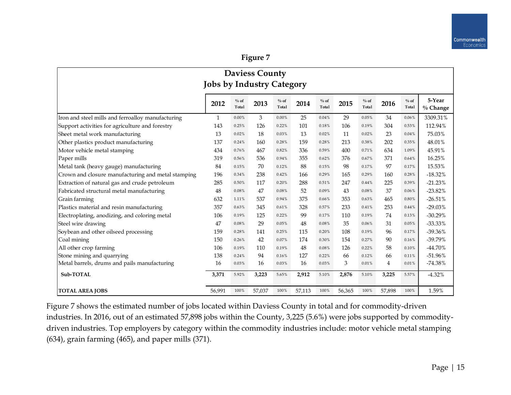| <b>Daviess County</b><br><b>Jobs by Industry Category</b> |              |                 |        |                 |        |                  |        |                 |                |                  |                      |
|-----------------------------------------------------------|--------------|-----------------|--------|-----------------|--------|------------------|--------|-----------------|----------------|------------------|----------------------|
|                                                           |              |                 |        |                 |        |                  |        |                 |                |                  |                      |
|                                                           | 2012         | $%$ of<br>Total | 2013   | $%$ of<br>Total | 2014   | $\%$ of<br>Total | 2015   | $%$ of<br>Total | 2016           | $\%$ of<br>Total | 5-Year<br>$%$ Change |
| Iron and steel mills and ferroalloy manufacturing         | $\mathbf{1}$ | $0.00\%$        | 3      | $0.00\%$        | 25     | 0.04%            | 29     | 0.05%           | 34             | 0.06%            | 3309.31%             |
| Support activities for agriculture and forestry           | 143          | 0.25%           | 126    | 0.22%           | 101    | 0.18%            | 106    | 0.19%           | 304            | 0.53%            | 112.94%              |
| Sheet metal work manufacturing                            | 13           | 0.02%           | 18     | 0.03%           | 13     | 0.02%            | 11     | 0.02%           | 23             | 0.04%            | 75.03%               |
| Other plastics product manufacturing                      | 137          | 0.24%           | 160    | 0.28%           | 159    | 0.28%            | 213    | 0.38%           | 202            | 0.35%            | 48.01%               |
| Motor vehicle metal stamping                              | 434          | 0.76%           | 467    | 0.82%           | 336    | 0.59%            | 400    | 0.71%           | 634            | 1.09%            | 45.91%               |
| Paper mills                                               | 319          | 0.56%           | 536    | 0.94%           | 355    | 0.62%            | 376    | 0.67%           | 371            | 0.64%            | 16.25%               |
| Metal tank (heavy gauge) manufacturing                    | 84           | 0.15%           | 70     | 0.12%           | 88     | 0.15%            | 98     | 0.17%           | 97             | 0.17%            | 15.53%               |
| Crown and closure manufacturing and metal stamping        | 196          | 0.34%           | 238    | 0.42%           | 166    | 0.29%            | 165    | 0.29%           | 160            | 0.28%            | $-18.32%$            |
| Extraction of natural gas and crude petroleum             | 285          | 0.50%           | 117    | 0.20%           | 288    | 0.51%            | 247    | 0.44%           | 225            | 0.39%            | $-21.23%$            |
| Fabricated structural metal manufacturing                 | 48           | 0.08%           | 47     | 0.08%           | 52     | 0.09%            | 43     | 0.08%           | 37             | 0.06%            | $-23.82%$            |
| Grain farming                                             | 632          | 1.11%           | 537    | 0.94%           | 375    | 0.66%            | 353    | 0.63%           | 465            | 0.80%            | $-26.51%$            |
| Plastics material and resin manufacturing                 | 357          | 0.63%           | 345    | 0.61%           | 328    | 0.57%            | 233    | 0.41%           | 253            | 0.44%            | $-29.03%$            |
| Electroplating, anodizing, and coloring metal             | 106          | 0.19%           | 125    | 0.22%           | 99     | 0.17%            | 110    | 0.19%           | 74             | 0.13%            | $-30.29%$            |
| Steel wire drawing                                        | 47           | 0.08%           | 29     | 0.05%           | 48     | 0.08%            | 35     | 0.06%           | 31             | 0.05%            | $-33.33%$            |
| Soybean and other oilseed processing                      | 159          | 0.28%           | 141    | 0.25%           | 115    | 0.20%            | 108    | 0.19%           | 96             | 0.17%            | $-39.36%$            |
| Coal mining                                               | 150          | 0.26%           | 42     | 0.07%           | 174    | 0.30%            | 154    | 0.27%           | 90             | 0.16%            | -39.79%              |
| All other crop farming                                    | 106          | 0.19%           | 110    | 0.19%           | 48     | 0.08%            | 126    | 0.22%           | 58             | 0.10%            | $-44.70%$            |
| Stone mining and quarrying                                | 138          | 0.24%           | 94     | 0.16%           | 127    | 0.22%            | 66     | 0.12%           | 66             | 0.11%            | $-51.96%$            |
| Metal barrels, drums and pails manufacturing              | 16           | 0.03%           | 16     | 0.03%           | 16     | 0.03%            | 3      | 0.01%           | $\overline{4}$ | 0.01%            | $-74.38%$            |
| Sub-TOTAL                                                 | 3,371        | 5.92%           | 3,223  | 5.65%           | 2,912  | 5.10%            | 2,876  | 5.10%           | 3,225          | 5.57%            | $-4.32%$             |
| <b>TOTAL AREA JOBS</b>                                    | 56,991       | 100%            | 57,037 | 100%            | 57,113 | 100%             | 56,365 | 100%            | 57,898         | 100%             | 1.59%                |

Figure 7 shows the estimated number of jobs located within Daviess County in total and for commodity-driven industries. In 2016, out of an estimated 57,898 jobs within the County, 3,225 (5.6%) were jobs supported by commoditydriven industries. Top employers by category within the commodity industries include: motor vehicle metal stamping (634), grain farming (465), and paper mills (371).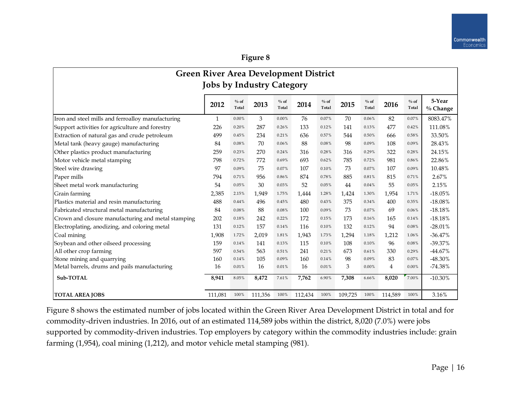| <b>Green River Area Development District</b><br><b>Jobs by Industry Category</b> |         |                  |         |                 |         |                 |         |                 |                |                  |                       |  |
|----------------------------------------------------------------------------------|---------|------------------|---------|-----------------|---------|-----------------|---------|-----------------|----------------|------------------|-----------------------|--|
|                                                                                  | 2012    | $\%$ of<br>Total | 2013    | $%$ of<br>Total | 2014    | $%$ of<br>Total | 2015    | $%$ of<br>Total | 2016           | $\%$ of<br>Total | 5-Year<br>$\%$ Change |  |
| Iron and steel mills and ferroalloy manufacturing                                | 1       | $0.00\%$         | 3       | $0.00\%$        | 76      | 0.07%           | 70      | $0.06\%$        | 82             | 0.07%            | 8083.47%              |  |
| Support activities for agriculture and forestry                                  | 226     | 0.20%            | 287     | 0.26%           | 133     | 0.12%           | 141     | 0.13%           | 477            | 0.42%            | 111.08%               |  |
| Extraction of natural gas and crude petroleum                                    | 499     | 0.45%            | 234     | 0.21%           | 636     | 0.57%           | 544     | 0.50%           | 666            | 0.58%            | 33.50%                |  |
| Metal tank (heavy gauge) manufacturing                                           | 84      | 0.08%            | 70      | 0.06%           | 88      | 0.08%           | 98      | 0.09%           | 108            | 0.09%            | 28.43%                |  |
| Other plastics product manufacturing                                             | 259     | 0.23%            | 270     | 0.24%           | 316     | 0.28%           | 316     | 0.29%           | 322            | 0.28%            | 24.15%                |  |
| Motor vehicle metal stamping                                                     | 798     | 0.72%            | 772     | 0.69%           | 693     | 0.62%           | 785     | 0.72%           | 981            | 0.86%            | 22.86%                |  |
| Steel wire drawing                                                               | 97      | 0.09%            | 75      | 0.07%           | 107     | 0.10%           | 73      | 0.07%           | 107            | 0.09%            | 10.48%                |  |
| Paper mills                                                                      | 794     | 0.71%            | 956     | 0.86%           | 874     | 0.78%           | 885     | 0.81%           | 815            | 0.71%            | 2.67%                 |  |
| Sheet metal work manufacturing                                                   | 54      | 0.05%            | 30      | 0.03%           | 52      | 0.05%           | 44      | 0.04%           | 55             | 0.05%            | 2.15%                 |  |
| Grain farming                                                                    | 2,385   | 2.15%            | 1.949   | 1.75%           | 1,444   | 1.28%           | 1,424   | 1.30%           | 1.954          | 1.71%            | $-18.05%$             |  |
| Plastics material and resin manufacturing                                        | 488     | 0.44%            | 496     | 0.45%           | 480     | 0.43%           | 375     | 0.34%           | 400            | 0.35%            | $-18.08%$             |  |
| Fabricated structural metal manufacturing                                        | 84      | 0.08%            | 88      | 0.08%           | 100     | 0.09%           | 73      | 0.07%           | 69             | 0.06%            | $-18.18%$             |  |
| Crown and closure manufacturing and metal stamping                               | 202     | 0.18%            | 242     | 0.22%           | 172     | 0.15%           | 173     | 0.16%           | 165            | 0.14%            | $-18.18%$             |  |
| Electroplating, anodizing, and coloring metal                                    | 131     | 0.12%            | 157     | 0.14%           | 116     | 0.10%           | 132     | 0.12%           | 94             | 0.08%            | $-28.01%$             |  |
| Coal mining                                                                      | 1,908   | 1.72%            | 2,019   | 1.81%           | 1,943   | 1.73%           | 1,294   | 1.18%           | 1,212          | 1.06%            | $-36.47%$             |  |
| Soybean and other oilseed processing                                             | 159     | 0.14%            | 141     | 0.13%           | 115     | 0.10%           | 108     | 0.10%           | 96             | 0.08%            | $-39.37%$             |  |
| All other crop farming                                                           | 597     | 0.54%            | 563     | 0.51%           | 241     | 0.21%           | 673     | 0.61%           | 330            | 0.29%            | $-44.67%$             |  |
| Stone mining and quarrying                                                       | 160     | 0.14%            | 105     | 0.09%           | 160     | 0.14%           | 98      | 0.09%           | 83             | 0.07%            | -48.30%               |  |
| Metal barrels, drums and pails manufacturing                                     | 16      | 0.01%            | 16      | 0.01%           | 16      | 0.01%           | 3       | $0.00\%$        | $\overline{4}$ | 0.00%            | $-74.38%$             |  |
| Sub-TOTAL                                                                        | 8,941   | 8.05%            | 8,472   | 7.61%           | 7,762   | 6.90%           | 7,308   | 6.66%           | 8,020          | 7.00%            | $-10.30%$             |  |
| <b>TOTAL AREA JOBS</b>                                                           | 111,081 | 100%             | 111,356 | 100%            | 112,434 | 100%            | 109,725 | 100%            | 114,589        | 100%             | 3.16%                 |  |

Figure 8 shows the estimated number of jobs located within the Green River Area Development District in total and for commodity-driven industries. In 2016, out of an estimated 114,589 jobs within the district, 8,020 (7.0%) were jobs supported by commodity-driven industries. Top employers by category within the commodity industries include: grain farming (1,954), coal mining (1,212), and motor vehicle metal stamping (981).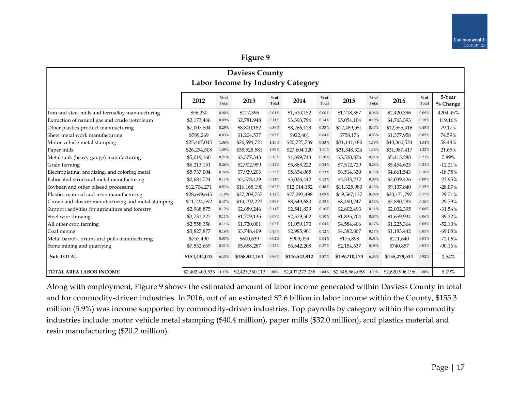| <b>Daviess County</b><br>Labor Income by Industry Category |                 |                  |                 |                  |                 |                 |                 |                  |                 |                  |                       |
|------------------------------------------------------------|-----------------|------------------|-----------------|------------------|-----------------|-----------------|-----------------|------------------|-----------------|------------------|-----------------------|
|                                                            | 2012            | $\%$ of<br>Total | 2013            | $\%$ of<br>Total | 2014            | $%$ of<br>Total | 2015            | $\%$ of<br>Total | 2016            | $\%$ of<br>Total | 5-Year<br>$\%$ Change |
| Iron and steel mills and ferroalloy manufacturing          | \$56,230        | 0.00%            | \$217,396       | 0.01%            | \$1,510,152     | 0.06%           | \$1,718,357     | 0.06%            | \$2,420,396     | 0.09%            | 4204.45%              |
| Extraction of natural gas and crude petroleum              | \$2,173,446     | 0.09%            | \$2,781,948     | 0.11%            | \$3,393,794     | 0.14%           | \$5,054,104     | 0.19%            | \$4,763,393     | 0.18%            | 119.16%               |
| Other plastics product manufacturing                       | \$7,007,504     | 0.29%            | \$8,800,182     | 0.36%            | \$8,266,123     | 0.33%           | \$12,489,551    | 0.47%            | \$12,555,416    | 0.48%            | 79.17%                |
| Sheet metal work manufacturing                             | \$789,269       | 0.03%            | \$1,204,537     | 0.05%            | \$922,401       | 0.04%           | \$758,176       | 0.03%            | \$1,377,958     | 0.05%            | 74.59%                |
| Motor vehicle metal stamping                               | \$25,467,045    | 1.06%            | \$26,594,721    | 1.10%            | \$20,725,739    | 0.83%           | \$31,141,186    | 1.18%            | \$40,360,524    | 1.54%            | 58.48%                |
| Paper mills                                                | \$26,294,508    | 1.09%            | \$38,528,581    | 1.59%            | \$27,604,120    | 1.11%           | \$31,348,324    | 1.18%            | \$31,987,417    | 1.22%            | 21.65%                |
| Metal tank (heavy gauge) manufacturing                     | \$5,019,160     | 0.21%            | \$3,577,343     | 0.15%            | \$4,899,748     | 0.20%           | \$5,520,876     | 0.21%            | \$5,415,288     | 0.21%            | 7.89%                 |
| Grain farming                                              | \$6,213,151     | 0.26%            | \$2,902,959     | 0.12%            | \$5,885,222     | 0.24%           | \$7,512,729     | 0.28%            | \$5,454,623     | 0.21%            | $-12.21%$             |
| Electroplating, anodizing, and coloring metal              | \$5,737,004     | 0.24%            | \$7,929,203     | 0.33%            | \$5,634,065     | 0.23%           | \$6,514,330     | 0.25%            | \$4,661,543     | 0.18%            | $-18.75%$             |
| Fabricated structural metal manufacturing                  | \$2,681,724     | 0.11%            | \$2,578,429     | 0.11%            | \$3,026,442     | 0.12%           | \$2,333,232     | 0.09%            | \$2,039,426     | 0.08%            | $-23.95%$             |
| Soybean and other oilseed processing                       | \$12,704,271    | 0.53%            | \$16,168,190    | 0.67%            | \$12,014,152    | 0.48%           | \$11,325,980    | 0.43%            | \$9,137,840     | 0.35%            | $-28.07%$             |
| Plastics material and resin manufacturing                  | \$28,699,645    | 1.19%            | \$27,209,737    | 1.12%            | \$27,293,498    | 1.09%           | \$19,567,137    | 0.74%            | \$20,171,797    | 0.77%            | $-29.71%$             |
| Crown and closure manufacturing and metal stamping         | \$11,224,592    | 0.47%            | \$14,192,222    | 0.59%            | \$8,649,680     | 0.35%           | \$8,490,247     | 0.32%            | \$7,880,283     | 0.30%            | $-29.79%$             |
| Support activities for agriculture and forestry            | \$2,968,875     | 0.12%            | \$2,689,246     | 0.11%            | \$2,541,839     | 0.10%           | \$2,802,493     | 0.11%            | \$2,032,395     | 0.08%            | $-31.54%$             |
| Steel wire drawing                                         | \$2,731,227     | 0.11%            | \$1,709,135     | 0.07%            | \$2,579,502     | 0.10%           | \$1,835,704     | 0.07%            | \$1,659,934     | 0.06%            | $-39.22%$             |
| All other crop farming                                     | \$2,558,356     | 0.11%            | \$1,720,001     | 0.07%            | \$1,059,170     | 0.04%           | \$4,584,406     | 0.17%            | \$1,225,364     | 0.05%            | $-52.10%$             |
| Coal mining                                                | \$3,827,877     | 0.16%            | \$3,748,409     | 0.15%            | \$2,985,901     | 0.12%           | \$4,382,807     | 0.17%            | \$1,183,442     | 0.05%            | $-69.08%$             |
| Metal barrels, drums and pails manufacturing               | \$757,490       | 0.03%            | \$600,639       | 0.02%            | \$909,059       | 0.04%           | \$175,898       | 0.01%            | \$211,640       | 0.01%            | $-72.06%$             |
| Stone mining and quarrying                                 | \$7,532,669     | 0.31%            | \$5,688,287     | 0.23%            | \$6,642,208     | 0.27%           | \$2,154,637     | 0.08%            | \$740,857       | 0.03%            | $-90.16%$             |
| Sub-TOTAL                                                  | \$154,444,043   | 6.43%            | \$168,841,164   | 6.96%            | \$146,542,812   | 5.87%           | \$159,710,173   | 6.03%            | \$155,279,534   | 5.92%            | 0.54%                 |
| <b>TOTAL AREA LABOR INCOME</b>                             | \$2,402,409,533 | 100%             | \$2,425,360,113 | 100%             | \$2,497,273,058 | 100%            | \$2,648,564,058 | 100%             | \$2,620,906,196 | 100%             | 9.09%                 |

Along with employment, Figure 9 shows the estimated amount of labor income generated within Daviess County in total and for commodity-driven industries. In 2016, out of an estimated \$2.6 billion in labor income within the County, \$155.3 million (5.9%) was income supported by commodity-driven industries. Top payrolls by category within the commodity industries include: motor vehicle metal stamping (\$40.4 million), paper mills (\$32.0 million), and plastics material and resin manufacturing (\$20.2 million).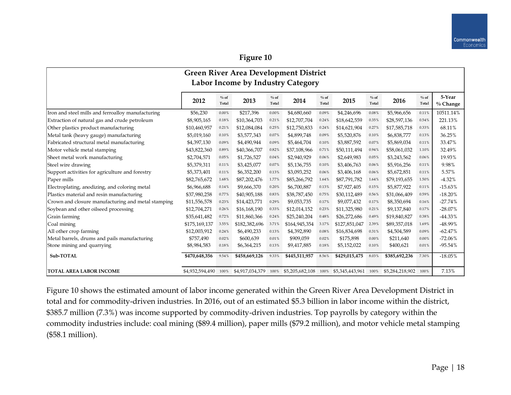| <b>Green River Area Development District</b>       |                 |                 |                                   |                 |                 |                 |                 |                 |                 |                 |                      |
|----------------------------------------------------|-----------------|-----------------|-----------------------------------|-----------------|-----------------|-----------------|-----------------|-----------------|-----------------|-----------------|----------------------|
|                                                    |                 |                 | Labor Income by Industry Category |                 |                 |                 |                 |                 |                 |                 |                      |
|                                                    | 2012            | $%$ of<br>Total | 2013                              | $%$ of<br>Total | 2014            | $%$ of<br>Total | 2015            | $%$ of<br>Total | 2016            | $%$ of<br>Total | 5-Year<br>$%$ Change |
| Iron and steel mills and ferroalloy manufacturing  | \$56,230        | 0.00%           | \$217,396                         | $0.00\%$        | \$4,680,660     | 0.09%           | \$4,246,696     | 0.08%           | \$5,966,656     | 0.11%           | 10511.14%            |
| Extraction of natural gas and crude petroleum      | \$8,905,165     | 0.18%           | \$10,364,703                      | 0.21%           | \$12,707,704    | 0.24%           | \$18,642,559    | 0.35%           | \$28,597,136    | 0.54%           | 221.13%              |
| Other plastics product manufacturing               | \$10,460,957    | 0.21%           | \$12,084,084                      | 0.25%           | \$12,750,833    | 0.24%           | \$14,621,904    | 0.27%           | \$17,585,718    | 0.33%           | 68.11%               |
| Metal tank (heavy gauge) manufacturing             | \$5,019,160     | 0.10%           | \$3,577,343                       | 0.07%           | \$4,899,748     | 0.09%           | \$5,520,876     | 0.10%           | \$6,838,777     | 0.13%           | 36.25%               |
| Fabricated structural metal manufacturing          | \$4,397,130     | 0.09%           | \$4,490,944                       | 0.09%           | \$5,464,704     | 0.10%           | \$3,887,592     | $0.07\%$        | \$5,869,034     | 0.11%           | 33.47%               |
| Motor vehicle metal stamping                       | \$43,822,360    | 0.89%           | \$40,366,707                      | 0.82%           | \$37,108,966    | 0.71%           | \$50,111,494    | 0.94%           | \$58,061,032    | 1.10%           | 32.49%               |
| Sheet metal work manufacturing                     | \$2,704,571     | 0.05%           | \$1,726,527                       | 0.04%           | \$2,940,929     | 0.06%           | \$2,649,983     | 0.05%           | \$3,243,562     | 0.06%           | 19.93%               |
| Steel wire drawing                                 | \$5,379,311     | 0.11%           | \$3,425,077                       | 0.07%           | \$5,136,755     | 0.10%           | \$3,406,763     | 0.06%           | \$5,916,256     | 0.11%           | 9.98%                |
| Support activities for agriculture and forestry    | \$5,373,401     | 0.11%           | \$6,352,200                       | 0.13%           | \$3,093,252     | 0.06%           | \$3,406,168     | 0.06%           | \$5,672,851     | 0.11%           | 5.57%                |
| Paper mills                                        | \$82,765,672    | 1.68%           | \$87,202,476                      | 1.77%           | \$85,266,792    | 1.64%           | \$87,791,782    | 1.64%           | \$79,193,655    | 1.50%           | $-4.32%$             |
| Electroplating, anodizing, and coloring metal      | \$6,966,688     | 0.14%           | \$9,666,370                       | 0.20%           | \$6,700,887     | 0.13%           | \$7,927,405     | 0.15%           | \$5,877,922     | 0.11%           | $-15.63%$            |
| Plastics material and resin manufacturing          | \$37,980,258    | 0.77%           | \$40,905,188                      | 0.83%           | \$38,787,450    | 0.75%           | \$30,112,489    | 0.56%           | \$31,066,409    | 0.59%           | $-18.20%$            |
| Crown and closure manufacturing and metal stamping | \$11,556,578    | 0.23%           | \$14,423,771                      | 0.29%           | \$9,053,735     | 0.17%           | \$9,077,432     | 0.17%           | \$8,350,694     | 0.16%           | $-27.74%$            |
| Soybean and other oilseed processing               | \$12,704,271    | 0.26%           | \$16,168,190                      | 0.33%           | \$12,014,152    | 0.23%           | \$11,325,980    | 0.21%           | \$9,137,840     | 0.17%           | $-28.07%$            |
| Grain farming                                      | \$35,641,482    | 0.72%           | \$11,860,366                      | 0.24%           | \$25,240,204    | 0.48%           | \$26,272,686    | 0.49%           | \$19,840,827    | 0.38%           | $-44.33%$            |
| Coal mining                                        | \$175,169,137   | 3.55%           | \$182,382,696                     | 3.71%           | \$164,945,354   | 3.17%           | \$127,851,047   | 2.39%           | \$89,357,018    | 1.69%           | -48.99%              |
| All other crop farming                             | \$12,003,912    | 0.24%           | \$6,490,233                       | 0.13%           | \$4,392,890     | 0.08%           | \$16,834,698    | 0.31%           | \$4,504,589     | 0.09%           | $-62.47%$            |
| Metal barrels, drums and pails manufacturing       | \$757,490       | 0.02%           | \$600,639                         | 0.01%           | \$909,059       | 0.02%           | \$175,898       | $0.00\%$        | \$211,640       | 0.00%           | $-72.06%$            |
| Stone mining and quarrying                         | \$8,984,583     | 0.18%           | \$6,364,215                       | 0.13%           | \$9,417,885     | 0.18%           | \$5,152,022     | 0.10%           | \$400,621       | 0.01%           | $-95.54%$            |
| Sub-TOTAL                                          | \$470,648,356   | 9.54%           | \$458,669,126                     | 9.33%           | \$445,511,957   | 8.56%           | \$429,015,475   | 8.03%           | \$385,692,236   | 7.30%           | $-18.05%$            |
| <b>TOTAL AREA LABOR INCOME</b>                     | \$4,932,594,490 | 100%            | \$4,917,034,379                   | 100%            | \$5,205,682,108 | 100%            | \$5,345,443,961 | 100%            | \$5,284,218,902 | 100%            | 7.13%                |

Figure 10 shows the estimated amount of labor income generated within the Green River Area Development District in total and for commodity-driven industries. In 2016, out of an estimated \$5.3 billion in labor income within the district, \$385.7 million (7.3%) was income supported by commodity-driven industries. Top payrolls by category within the commodity industries include: coal mining (\$89.4 million), paper mills (\$79.2 million), and motor vehicle metal stamping (\$58.1 million).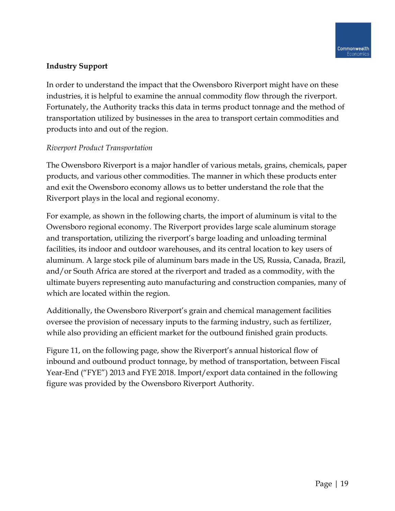### **Industry Support**

In order to understand the impact that the Owensboro Riverport might have on these industries, it is helpful to examine the annual commodity flow through the riverport. Fortunately, the Authority tracks this data in terms product tonnage and the method of transportation utilized by businesses in the area to transport certain commodities and products into and out of the region.

## *Riverport Product Transportation*

The Owensboro Riverport is a major handler of various metals, grains, chemicals, paper products, and various other commodities. The manner in which these products enter and exit the Owensboro economy allows us to better understand the role that the Riverport plays in the local and regional economy.

For example, as shown in the following charts, the import of aluminum is vital to the Owensboro regional economy. The Riverport provides large scale aluminum storage and transportation, utilizing the riverport's barge loading and unloading terminal facilities, its indoor and outdoor warehouses, and its central location to key users of aluminum. A large stock pile of aluminum bars made in the US, Russia, Canada, Brazil, and/or South Africa are stored at the riverport and traded as a commodity, with the ultimate buyers representing auto manufacturing and construction companies, many of which are located within the region.

Additionally, the Owensboro Riverport's grain and chemical management facilities oversee the provision of necessary inputs to the farming industry, such as fertilizer, while also providing an efficient market for the outbound finished grain products.

Figure 11, on the following page, show the Riverport's annual historical flow of inbound and outbound product tonnage, by method of transportation, between Fiscal Year-End ("FYE") 2013 and FYE 2018. Import/export data contained in the following figure was provided by the Owensboro Riverport Authority.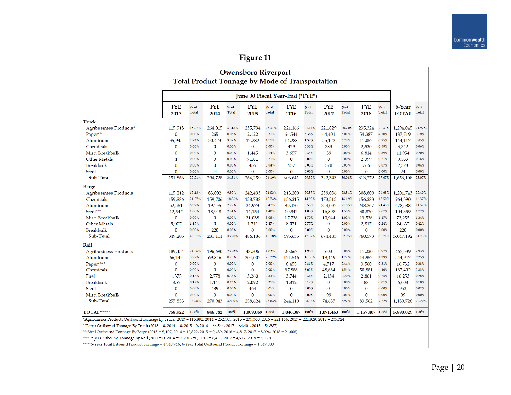| <b>Owensboro Riverport</b>                      |              |              |              |              |                                 |              |              |              |              |              |                |              |                |              |
|-------------------------------------------------|--------------|--------------|--------------|--------------|---------------------------------|--------------|--------------|--------------|--------------|--------------|----------------|--------------|----------------|--------------|
| Total Product Tonnage by Mode of Transportation |              |              |              |              |                                 |              |              |              |              |              |                |              |                |              |
|                                                 |              |              |              |              |                                 |              |              |              |              |              |                |              |                |              |
|                                                 |              |              |              |              | June 30 Fiscal Year-End ("FYE") |              |              |              |              |              |                |              |                |              |
|                                                 | <b>FYE</b>   | $%$ of       | <b>FYE</b>   | $%$ of       | <b>FYE</b>                      | $%$ of       | <b>FYE</b>   | % of         | <b>FYE</b>   | % of         | <b>FYE</b>     | % of         | 6-Year         | % of         |
|                                                 | 2013         | <b>Total</b> | 2014         | <b>Total</b> | 2015                            | <b>Total</b> | 2016         | <b>Total</b> | 2017         | <b>Total</b> | 2018           | <b>Total</b> | <b>TOTAL</b>   | <b>Total</b> |
| Truck                                           |              |              |              |              |                                 |              |              |              |              |              |                |              |                |              |
| Agribusiness Products*                          | 115,918      | 15.27%       | 264,015      | 31.18%       | 235,794                         | 23.37%       | 221.166      | 21.14%       | 221,829      | 20.70%       | 235,324        | 20.33%       | 1,294,045      | 21.97%       |
| Paper**                                         | $\Omega$     | 0.00%        | 265          | 0.03%        | 2,122                           | 0.21%        | 66,544       | 6.36%        | 64,401       | 6.01%        | 54,387         | 4.70%        | 187,719        | 3.19%        |
| Aluminum                                        | 35,945       | 4.74%        | 30,423       | 3.59%        | 17,282                          | 1.71%        | 14,288       | 1.37%        | 35,122       | 3.28%        | 11,052         | 0.95%        | 144,112        | 2.45%        |
| Chemicals                                       | $\bf{0}$     | 0.00%        | $\bf{0}$     | 0.00%        | $\bf{0}$                        | 0.00%        | 429          | 0.35%        | 383          | 0.00%        | 2,530          | 0.59%        | 3,342          | 0.06%        |
| Misc. Breakbulk                                 | $\bf{0}$     | 0.00%        | $\bf{0}$     | 0.00%        | 1,445                           | 0.14%        | 3,657        | 0.35%        | 39           | 0.00%        | 6,814          | 0.59%        | 11,954         | 0.20%        |
| <b>Other Metals</b>                             | 4            | 0.00%        | $\bf{0}$     | 0.00%        | 7.181                           | 0.71%        | $\bf{0}$     | 0.00%        | $\bf{0}$     | 0.00%        | 2,399          | 0.21%        | 9,583          | 0.16%        |
| Breakbulk                                       | $\mathbf{0}$ | 0.00%        | $\mathbf{0}$ | 0.00%        | 435                             | 0.04%        | 557          | 0.05%        | 570          | 0.05%        | 766            | 0.07%        | 2,328          | 0.04%        |
| <b>Steel</b>                                    | $\mathbf{0}$ | 0.00%        | 24           | 0.00%        | $\mathbf{0}$                    | 0.00%        | $\mathbf{0}$ | 0.00%        | $\mathbf{0}$ | 0.00%        | $\mathbf{0}$   | 0.00%        | 24             | 0.00%        |
| Sub-Total                                       | 151,866      | 20.01%       | 294,728      | 34.81%       | 264,259                         | 26.19%       | 306,641      | 29.30%       | 322,343      | 30.08%       | 313,272        | 27.07%       | 1,653,108      | 28.07%       |
| Barge                                           |              |              |              |              |                                 |              |              |              |              |              |                |              |                |              |
| <b>Agribusiness Products</b>                    | 115,212      | 15.18%       | 83,002       | 9.80%        | 242,493                         | 24.03%       | 213,200      | 20.37%       | 239,036      | 22.31%       | 308,800        | 26.68%       | 1,201,743      | 20.40%       |
| Chemicals                                       | 159,886      | 21.07%       | 159,706      | 18.86%       | 158,788                         | 15.74%       | 156,215      | 14.93%       | 173,513      | 16.19%       | 156.283        | 13.50%       | 964,390        | 16.37%       |
| Aluminum                                        | 52,551       | 6.92%        | 19,235       | 2.27%        | 34,973                          | 3.47%        | 89,470       | 8.55%        | 234,092      | 21.85%       | 248,267        | 21.45%       | 678,588        | 11.52%       |
| Steel***                                        | 12,547       | 1.65%        | 18,948       | 2.24%        | 14,154                          | 1.40%        | 10,942       | 1.05%        | 16,898       | 1.58%        | 30,870         | 2.67%        | 104,359        | 1.77%        |
| Misc. Breakbulk                                 | $\bf{0}$     | 0.00%        | $\bf{0}$     | 0.00%        | 31,038                          | 3.08%        | 17,738       | 1.70%        | 10,944       | 1.02%        | 13,536         | 1.17%        | 73,255         | 1.24%        |
| <b>Other Metals</b>                             | 9,007        | 1.19%        | $\bf{0}$     | 0.00%        | 4,741                           | 0.47%        | 8,071        | 0.77%        | $\bf{0}$     | 0.00%        | 2,817          | 0.24%        | 24,637         | 0.42%        |
| Breakbulk                                       | $\bf{0}$     | 0.00%        | 220          | 0.03%        | $\bf{0}$                        | 0.00%        | $\bf{0}$     | 0.00%        | $\bf{0}$     | 0.00%        | $\bf{0}$       | 0.00%        | 220            | 0.00%        |
| Sub-Total                                       | 349,203      | 46.01%       | 281,111      | 33.20%       | 486,186                         | 48.18%       | 495,635      | 47.37%       | 674,483      | 62.95%       | 760,573        | 65.71%       | 3,047,192      | 51.73%       |
| Rail                                            |              |              |              |              |                                 |              |              |              |              |              |                |              |                |              |
| <b>Agribusiness Products</b>                    | 189,454      | 24.96%       | 196.690      | 23.23%       | 48,706                          | 4.83%        | 20.667       | 1.98%        | 603          | 0.06%        | 11,220         | 0.97%        | 467.339        | 7.93%        |
| Aluminum                                        | 66,147       | 8.72%        | 69,846       | 8.25%        | 204,002                         | 20.22%       | 171,546      | 16.39%       | 18,449       | 1.72%        | 14,952         | 1.29%        | 544,942        | 9.25%        |
| Paper****                                       | $\bf{0}$     | 0.00%        | $\bf{0}$     | 0.00%        | $\bf{0}$                        | 0.00%        | 8,455        | 0.81%        | 4,717        | 0.44%        | 3,560          | 0.31%        | 16,732         | 0.28%        |
| Chemicals                                       | $\Omega$     | 0.00%        | $\bf{0}$     | 0.00%        | $\bf{0}$                        | 0.00%        | 37,888       | 3.62%        | 48,634       | 4.54%        | 50,881         | 4.40%        | 137,402        | 2.33%        |
| Fuel                                            | 1,375        | 0.18%        | 2,778        | 0.33%        | 3,360                           | 0.33%        | 3,744        | 0.36%        | 2,134        | 0.20%        | 2,861          | 0.25%        | 16,253         | 0.28%        |
| <b>Breakbulk</b>                                | 876          | 0.12%        | 1.141        | 0.13%        | 2.092                           | 0.21%        | 1.812        | 0.17%        | $\bf{0}$     | 0.00%        | 88             | 0.01%        | 6,008          | 0.10%        |
| <b>Steel</b>                                    | $\bf{0}$     | 0.00%        | 489          | 0.06%        | 464                             | 0.05%        | $\bf{0}$     | 0.00%        | $\bf{0}$     | 0.00%        | $\bf{0}$       | 0.00%        | 953            | 0.02%        |
| Misc. Breakbulk                                 | $\mathbf{0}$ | 0.00%        | $\bf{0}$     | 0.00%        | $\Omega$                        | 0.00%        | $\mathbf{0}$ | 0.00%        | 99           | 0.01%        | $\mathbf{0}$   | 0.00%        | 99             | 0.00%        |
| Sub-Total                                       | 257,853      | 33.98%       | 270,943      | 32.00%       | 258,624                         | 25.63%       | 244,110      | 23.33%       | 74,637       | 6.97%        | 83,562         | 7.22%        | 1,189,728      | 20.20%       |
| TOTAL*****                                      | 758,922      | 100%         | 846,782      | 100%         | 1,009,069 100%                  |              | 1,046,387    | 100%         | 1,071,463    | 100%         | 1,157,407 100% |              | 5,890,029 100% |              |

\*Agribusiness Products Outbound Tonnage By Truck (2013 = 115,891, 2014 = 252,505, 2015 = 235,368, 2016 = 221,166, 2017 = 221,829, 2018 = 235,324)

\*\*Paper Outbound Tonnage By Truck (2013 = 0, 2014 = 0, 2015 = 0, 2016 = 66,544, 2017 = 64,401, 2018 = 54,387)

\*\*\*Steel Outbound Tonnage By Barge (2013 = 8,107, 2014 = 12,822, 2015 = 9,489, 2016 = 4,817, 2017 = 8,094, 2018 = 21,608)

\*\*\*\*Paper Outbound Tonnage By Rail (2013 = 0, 2014 = 0, 2015 = 0, 2016 = 8,455, 2017 = 4,717, 2018 = 3,560)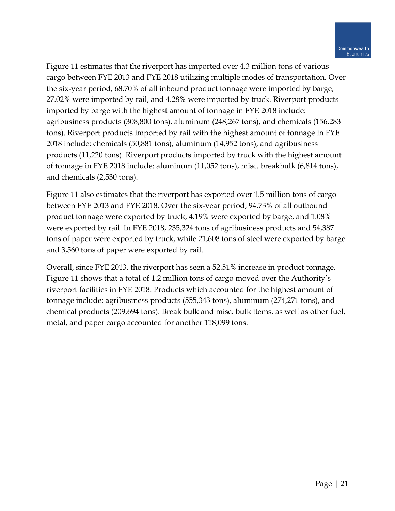Figure 11 estimates that the riverport has imported over 4.3 million tons of various cargo between FYE 2013 and FYE 2018 utilizing multiple modes of transportation. Over the six-year period, 68.70% of all inbound product tonnage were imported by barge, 27.02% were imported by rail, and 4.28% were imported by truck. Riverport products imported by barge with the highest amount of tonnage in FYE 2018 include: agribusiness products (308,800 tons), aluminum (248,267 tons), and chemicals (156,283 tons). Riverport products imported by rail with the highest amount of tonnage in FYE 2018 include: chemicals (50,881 tons), aluminum (14,952 tons), and agribusiness products (11,220 tons). Riverport products imported by truck with the highest amount of tonnage in FYE 2018 include: aluminum (11,052 tons), misc. breakbulk (6,814 tons), and chemicals (2,530 tons).

Figure 11 also estimates that the riverport has exported over 1.5 million tons of cargo between FYE 2013 and FYE 2018. Over the six-year period, 94.73% of all outbound product tonnage were exported by truck, 4.19% were exported by barge, and 1.08% were exported by rail. In FYE 2018, 235,324 tons of agribusiness products and 54,387 tons of paper were exported by truck, while 21,608 tons of steel were exported by barge and 3,560 tons of paper were exported by rail.

Overall, since FYE 2013, the riverport has seen a 52.51% increase in product tonnage. Figure 11 shows that a total of 1.2 million tons of cargo moved over the Authority's riverport facilities in FYE 2018. Products which accounted for the highest amount of tonnage include: agribusiness products (555,343 tons), aluminum (274,271 tons), and chemical products (209,694 tons). Break bulk and misc. bulk items, as well as other fuel, metal, and paper cargo accounted for another 118,099 tons.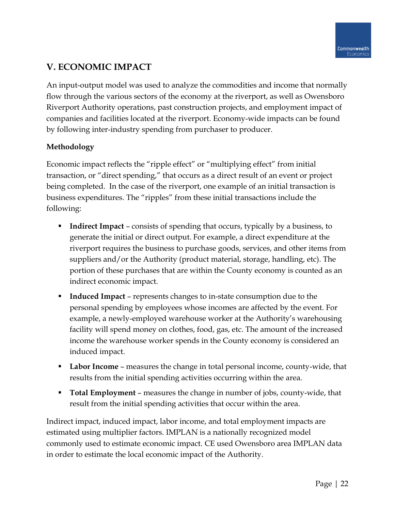# **V. ECONOMIC IMPACT**

An input-output model was used to analyze the commodities and income that normally flow through the various sectors of the economy at the riverport, as well as Owensboro Riverport Authority operations, past construction projects, and employment impact of companies and facilities located at the riverport. Economy-wide impacts can be found by following inter-industry spending from purchaser to producer.

## **Methodology**

Economic impact reflects the "ripple effect" or "multiplying effect" from initial transaction, or "direct spending," that occurs as a direct result of an event or project being completed. In the case of the riverport, one example of an initial transaction is business expenditures. The "ripples" from these initial transactions include the following:

- **Indirect Impact** consists of spending that occurs, typically by a business, to generate the initial or direct output. For example, a direct expenditure at the riverport requires the business to purchase goods, services, and other items from suppliers and/or the Authority (product material, storage, handling, etc). The portion of these purchases that are within the County economy is counted as an indirect economic impact.
- **Induced Impact** represents changes to in-state consumption due to the personal spending by employees whose incomes are affected by the event. For example, a newly-employed warehouse worker at the Authority's warehousing facility will spend money on clothes, food, gas, etc. The amount of the increased income the warehouse worker spends in the County economy is considered an induced impact.
- **Labor Income** measures the change in total personal income, county-wide, that results from the initial spending activities occurring within the area.
- **Total Employment** measures the change in number of jobs, county-wide, that result from the initial spending activities that occur within the area.

Indirect impact, induced impact, labor income, and total employment impacts are estimated using multiplier factors. IMPLAN is a nationally recognized model commonly used to estimate economic impact. CE used Owensboro area IMPLAN data in order to estimate the local economic impact of the Authority.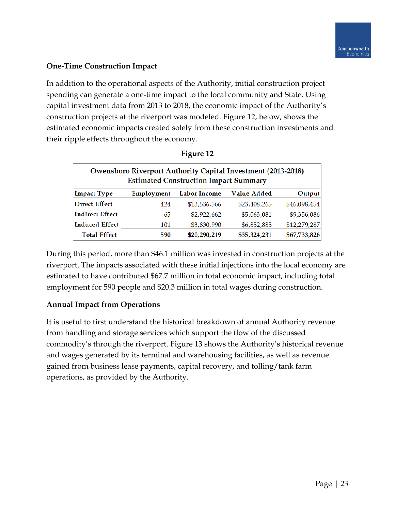### **One-Time Construction Impact**

In addition to the operational aspects of the Authority, initial construction project spending can generate a one-time impact to the local community and State. Using capital investment data from 2013 to 2018, the economic impact of the Authority's construction projects at the riverport was modeled. Figure 12, below, shows the estimated economic impacts created solely from these construction investments and their ripple effects throughout the economy.

| <b>Owensboro Riverport Authority Capital Investment (2013-2018)</b><br><b>Estimated Construction Impact Summary</b> |            |                     |              |              |  |  |  |  |  |  |  |  |
|---------------------------------------------------------------------------------------------------------------------|------------|---------------------|--------------|--------------|--|--|--|--|--|--|--|--|
| <b>Impact Type</b>                                                                                                  | Employment | <b>Labor Income</b> | Value Added  | Output       |  |  |  |  |  |  |  |  |
| <b>Direct Effect</b>                                                                                                | 424        | \$13,536,566        | \$23,408,265 | \$46,098,454 |  |  |  |  |  |  |  |  |
| <b>Indirect Effect</b>                                                                                              | 65         | \$2,922,662         | \$5,063,081  | \$9,356,086  |  |  |  |  |  |  |  |  |
| <b>Induced Effect</b>                                                                                               | 101        | \$3,830,990         | \$6,852,885  | \$12,279,287 |  |  |  |  |  |  |  |  |
| <b>Total Effect</b>                                                                                                 | 590        | \$20,290,219        | \$35,324,231 | \$67,733,826 |  |  |  |  |  |  |  |  |

| <b>Figure <math>12</math></b> |  |
|-------------------------------|--|
|-------------------------------|--|

During this period, more than \$46.1 million was invested in construction projects at the riverport. The impacts associated with these initial injections into the local economy are estimated to have contributed \$67.7 million in total economic impact, including total employment for 590 people and \$20.3 million in total wages during construction.

### **Annual Impact from Operations**

It is useful to first understand the historical breakdown of annual Authority revenue from handling and storage services which support the flow of the discussed commodity's through the riverport. Figure 13 shows the Authority's historical revenue and wages generated by its terminal and warehousing facilities, as well as revenue gained from business lease payments, capital recovery, and tolling/tank farm operations, as provided by the Authority.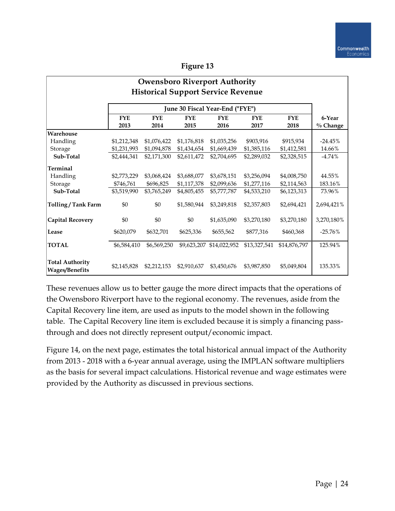| <b>Owensboro Riverport Authority</b>            |                                                                                                                     |             |             |              |              |              |             |  |  |  |
|-------------------------------------------------|---------------------------------------------------------------------------------------------------------------------|-------------|-------------|--------------|--------------|--------------|-------------|--|--|--|
| <b>Historical Support Service Revenue</b>       |                                                                                                                     |             |             |              |              |              |             |  |  |  |
|                                                 |                                                                                                                     |             |             |              |              |              |             |  |  |  |
|                                                 | June 30 Fiscal Year-End ("FYE")<br><b>FYE</b><br><b>FYE</b><br><b>FYE</b><br><b>FYE</b><br><b>FYE</b><br><b>FYE</b> |             |             |              |              |              | 6-Year      |  |  |  |
|                                                 | 2013                                                                                                                | 2014        | 2015        | 2016         | 2017         | 2018         | $\%$ Change |  |  |  |
| Warehouse                                       |                                                                                                                     |             |             |              |              |              |             |  |  |  |
| Handling                                        | \$1,212,348                                                                                                         | \$1,076,422 | \$1,176,818 | \$1,035,256  | \$903,916    | \$915,934    | $-24.45%$   |  |  |  |
| Storage                                         | \$1,231,993                                                                                                         | \$1,094,878 | \$1,434,654 | \$1,669,439  | \$1,385,116  | \$1,412,581  | 14.66%      |  |  |  |
| Sub-Total                                       | \$2,444,341                                                                                                         | \$2,171,300 | \$2,611,472 | \$2,704,695  | \$2,289,032  | \$2,328,515  | $-4.74%$    |  |  |  |
| <b>Terminal</b>                                 |                                                                                                                     |             |             |              |              |              |             |  |  |  |
| Handling                                        | \$2,773,229                                                                                                         | \$3,068,424 | \$3,688,077 | \$3,678,151  | \$3,256,094  | \$4,008,750  | 44.55%      |  |  |  |
| Storage                                         | \$746,761                                                                                                           | \$696,825   | \$1,117,378 | \$2,099,636  | \$1,277,116  | \$2,114,563  | 183.16%     |  |  |  |
| Sub-Total                                       | \$3,519,990                                                                                                         | \$3,765,249 | \$4,805,455 | \$5,777,787  | \$4,533,210  | \$6,123,313  | 73.96%      |  |  |  |
| Tolling/Tank Farm                               | \$0                                                                                                                 | \$0         | \$1,580,944 | \$3,249,818  | \$2,357,803  | \$2,694,421  | 2,694,421%  |  |  |  |
| <b>Capital Recovery</b>                         | \$0                                                                                                                 | \$0         | \$0         | \$1,635,090  | \$3,270,180  | \$3,270,180  | 3,270,180%  |  |  |  |
| Lease                                           | \$620,079                                                                                                           | \$632,701   | \$625,336   | \$655,562    | \$877,316    | \$460,368    | $-25.76%$   |  |  |  |
| <b>TOTAL</b>                                    | \$6,584,410                                                                                                         | \$6,569,250 | \$9,623,207 | \$14,022,952 | \$13,327,541 | \$14,876,797 | 125.94%     |  |  |  |
| <b>Total Authority</b><br><b>Wages/Benefits</b> | \$2,145,828                                                                                                         | \$2,212,153 | \$2,910,637 | \$3,450,676  | \$3,987,850  | \$5,049,804  | 135.33%     |  |  |  |

These revenues allow us to better gauge the more direct impacts that the operations of the Owensboro Riverport have to the regional economy. The revenues, aside from the Capital Recovery line item, are used as inputs to the model shown in the following table. The Capital Recovery line item is excluded because it is simply a financing passthrough and does not directly represent output/economic impact.

Figure 14, on the next page, estimates the total historical annual impact of the Authority from 2013 - 2018 with a 6-year annual average, using the IMPLAN software multipliers as the basis for several impact calculations. Historical revenue and wage estimates were provided by the Authority as discussed in previous sections.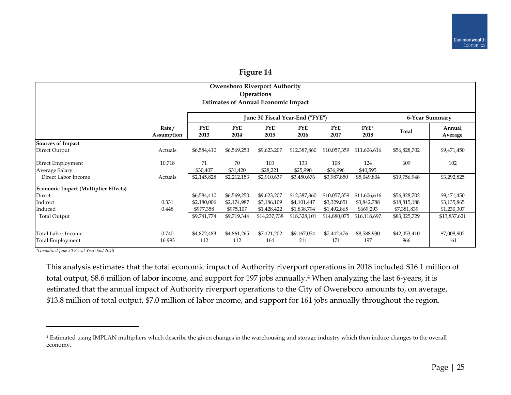| <b>Owensboro Riverport Authority</b><br><b>Operations</b> |                                 |                    |                    |                    |                                                   |                 |                     |                    |  |  |  |
|-----------------------------------------------------------|---------------------------------|--------------------|--------------------|--------------------|---------------------------------------------------|-----------------|---------------------|--------------------|--|--|--|
|                                                           |                                 |                    |                    |                    |                                                   |                 |                     |                    |  |  |  |
|                                                           | June 30 Fiscal Year-End ("FYE") |                    |                    |                    |                                                   |                 |                     | 6-Year Summary     |  |  |  |
| Rate/<br>Assumption                                       | <b>FYE</b><br>2013              | <b>FYE</b><br>2014 | <b>FYE</b><br>2015 | <b>FYE</b><br>2016 | <b>FYE</b><br>2017                                | $FYE^*$<br>2018 | Total               | Annual<br>Average  |  |  |  |
|                                                           |                                 |                    |                    |                    |                                                   |                 |                     |                    |  |  |  |
| Actuals                                                   | \$6,584,410                     | \$6,569,250        | \$9,623,207        | \$12,387,860       | \$10,057,359                                      | \$11,606,616    | \$56,828,702        | \$9,471,450        |  |  |  |
| 10.718                                                    | 71                              | 70                 | 103                | 133                | 108                                               | 124             | 609                 | 102                |  |  |  |
|                                                           | \$30,407                        | \$31,420           | \$28,221           | \$25,990           | \$36,996                                          | \$40,595        |                     |                    |  |  |  |
| Actuals                                                   | \$2,145,828                     | \$2,212,153        | \$2,910,637        | \$3,450,676        | \$3,987,850                                       | \$5,049,804     | \$19,756,948        | \$3,292,825        |  |  |  |
|                                                           |                                 |                    |                    |                    |                                                   |                 |                     |                    |  |  |  |
|                                                           | \$6,584,410                     | \$6,569,250        | \$9,623,207        | \$12,387,860       | \$10,057,359                                      | \$11,606,616    | \$56,828,702        | \$9,471,450        |  |  |  |
| 0.331                                                     | \$2,180,006                     | \$2,174,987        | \$3,186,109        | \$4,101,447        | \$3,329,851                                       | \$3,842,788     | \$18,815,188        | \$3,135,865        |  |  |  |
| 0.448                                                     | \$977,358                       | \$975,107          | \$1,428,422        | \$1,838,794        | \$1,492,865                                       | \$669,293       | \$7,381,839         | \$1,230,307        |  |  |  |
|                                                           | \$9,741,774                     | \$9,719,344        | \$14,237,738       | \$18,328,101       | \$14,880,075                                      | \$16,118,697    | \$83,025,729        | \$13,837,621       |  |  |  |
| 0.740                                                     | \$4,872,483                     | \$4,861,265        | \$7,121,202<br>164 | \$9,167,054        | \$7,442,476                                       | \$8,588,930     | \$42,053,410<br>966 | \$7,008,902<br>161 |  |  |  |
|                                                           | 16.993                          | 112                | 112                |                    | <b>Estimates of Annual Economic Impact</b><br>211 | 171             | 197                 |                    |  |  |  |

*\*Unaudited June 30 Fiscal Year-End 2018*

 $\overline{a}$ 

This analysis estimates that the total economic impact of Authority riverport operations in 2018 included \$16.1 million of total output, \$8.6 million of labor income, and support for 197 jobs annually.<sup>4</sup> When analyzing the last 6-years, it is estimated that the annual impact of Authority riverport operations to the City of Owensboro amounts to, on average, \$13.8 million of total output, \$7.0 million of labor income, and support for 161 jobs annually throughout the region.

<sup>4</sup> Estimated using IMPLAN multipliers which describe the given changes in the warehousing and storage industry which then induce changes to the overall economy.